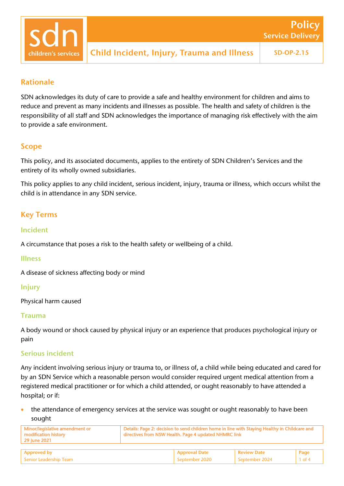## Rationale

children's services

SDN acknowledges its duty of care to provide a safe and healthy environment for children and aims to reduce and prevent as many incidents and illnesses as possible. The health and safety of children is the responsibility of all staff and SDN acknowledges the importance of managing risk effectively with the aim to provide a safe environment.

### Scope

This policy, and its associated documents, applies to the entirety of SDN Children's Services and the entirety of its wholly owned subsidiaries.

This policy applies to any child incident, serious incident, injury, trauma or illness, which occurs whilst the child is in attendance in any SDN service.

# Key Terms

### Incident

A circumstance that poses a risk to the health safety or wellbeing of a child.

### Illness

A disease of sickness affecting body or mind

### Injury

Physical harm caused

### Trauma

A body wound or shock caused by physical injury or an experience that produces psychological injury or pain

### Serious incident

Any incident involving serious injury or trauma to, or illness of, a child while being educated and cared for by an SDN Service which a reasonable person would consider required urgent medical attention from a registered medical practitioner or for which a child attended, or ought reasonably to have attended a hospital; or if:

the attendance of emergency services at the service was sought or ought reasonably to have been sought

| Minor/legislative amendment or<br>modification history<br>  29 June 2021 | Details: Page 2: decision to send children home in line with Staying Healthy in Childcare and<br>directives from NSW Health. Page 4 updated NHMRC link |                            |             |      |
|--------------------------------------------------------------------------|--------------------------------------------------------------------------------------------------------------------------------------------------------|----------------------------|-------------|------|
|                                                                          |                                                                                                                                                        |                            |             |      |
| Approved by                                                              |                                                                                                                                                        | <sup>1</sup> Approval Date | Review Date | Page |

Senior Leadership Team September 2020 September 2020 September 2024 1 of 4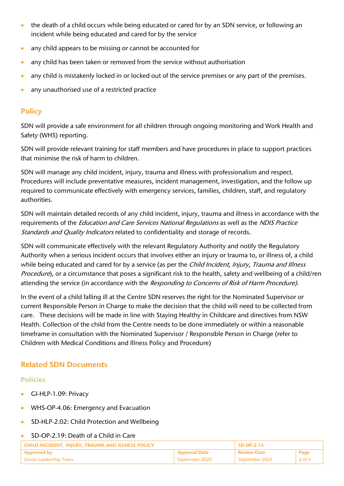- the death of a child occurs while being educated or cared for by an SDN service, or following an incident while being educated and cared for by the service
- any child appears to be missing or cannot be accounted for
- any child has been taken or removed from the service without authorisation
- any child is mistakenly locked in or locked out of the service premises or any part of the premises.
- any unauthorised use of a restricted practice

# **Policy**

SDN will provide a safe environment for all children through ongoing monitoring and Work Health and Safety (WHS) reporting.

SDN will provide relevant training for staff members and have procedures in place to support practices that minimise the risk of harm to children.

SDN will manage any child incident, injury, trauma and illness with professionalism and respect. Procedures will include preventative measures, incident management, investigation, and the follow up required to communicate effectively with emergency services, families, children, staff, and regulatory authorities.

SDN will maintain detailed records of any child incident, injury, trauma and illness in accordance with the requirements of the *Education and Care Services National Requlations* as well as the *NDIS Practice* Standards and Quality Indicators related to confidentiality and storage of records.

SDN will communicate effectively with the relevant Regulatory Authority and notify the Regulatory Authority when a serious incident occurs that involves either an injury or trauma to, or illness of, a child while being educated and cared for by a service (as per the *Child Incident, Injury, Trauma and Illness* Procedure), or a circumstance that poses a significant risk to the health, safety and wellbeing of a child/ren attending the service (in accordance with the Responding to Concerns of Risk of Harm Procedure).

In the event of a child falling ill at the Centre SDN reserves the right for the Nominated Supervisor or current Responsible Person in Charge to make the decision that the child will need to be collected from care. These decisions will be made in line with Staying Healthy in Childcare and directives from NSW Health. Collection of the child from the Centre needs to be done immediately or within a reasonable timeframe in consultation with the Nominated Supervisor / Responsible Person in Charge (refer to Children with Medical Conditions and Illness Policy and Procedure)

# Related SDN Documents

### Policies

- GI-HLP-1.09: Privacy
- WHS-OP-4.06: Emergency and Evacuation
- SD-HLP-2.02: Child Protection and Wellbeing

### • SD-OP-2.19: Death of a Child in Care

| CHILD INCIDENT. INIURY. TRAUMA AND ILLNESS POLICY |                      | $SD-OP-2.15$       |        |
|---------------------------------------------------|----------------------|--------------------|--------|
| Approved by                                       | <b>Approval Date</b> | <b>Review Date</b> | Page   |
| Senior Leadership Team                            | l September 2020 i   | September 2024     | 2 of 4 |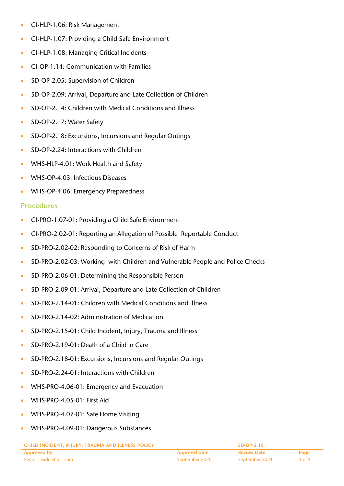- GI-HLP-1.06: Risk Management
- GI-HLP-1.07: Providing a Child Safe Environment
- GI-HLP-1.08: Managing Critical Incidents
- GI-OP-1.14: Communication with Families
- SD-OP-2.05: Supervision of Children
- SD-OP-2.09: Arrival, Departure and Late Collection of Children
- SD-OP-2.14: Children with Medical Conditions and Illness
- SD-OP-2.17: Water Safety
- SD-OP-2.18: Excursions, Incursions and Regular Outings
- SD-OP-2.24: Interactions with Children
- WHS-HLP-4.01: Work Health and Safety
- WHS-OP-4.03: Infectious Diseases
- WHS-OP-4.06: Emergency Preparedness

# Procedures

- GI-PRO-1.07-01: Providing a Child Safe Environment
- GI-PRO-2.02-01: [Reporting an Allegation of Possible](http://intranet.sdn.org.au/links/resources/?cat=225) Reportable Conduct
- SD-PRO-2.02-02: Responding to Concerns of Risk of Harm
- SD-PRO-2.02-03: Working with Children and Vulnerable People and Police Checks
- SD-PRO-2.06-01: Determining the Responsible Person
- SD-PRO-2.09-01: Arrival, Departure and Late Collection of Children
- SD-PRO-2.14-01: Children with Medical Conditions and Illness
- SD-PRO-2.14-02: Administration of Medication
- SD-PRO-2.15-01: Child Incident, Injury, Trauma and Illness
- SD-PRO-2.19-01: Death of a Child in Care
- SD-PRO-2.18-01: Excursions, Incursions and Regular Outings
- SD-PRO-2.24-01: Interactions with Children
- WHS-PRO-4.06-01: Emergency and Evacuation
- WHS-PRO-4.05-01: First Aid
- WHS-PRO-4.07-01: Safe Home Visiting
- WHS-PRO-4.09-01: Dangerous Substances

| CHILD INCIDENT, INJURY, TRAUMA AND ILLNESS POLICY |                      | $SD-OP-2.15$       |          |
|---------------------------------------------------|----------------------|--------------------|----------|
| Approved by                                       | <b>Approval Date</b> | <b>Review Date</b> | Page     |
| l Senior Leadership Team                          | September 2020       | . September 2024   | $3$ of 4 |